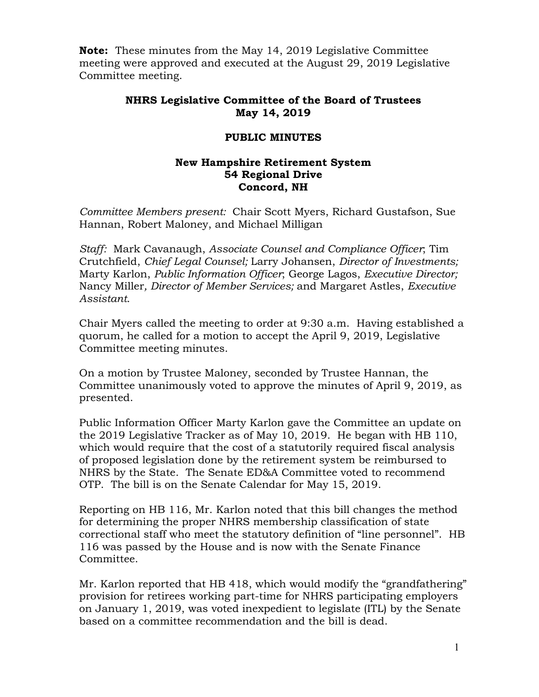**Note:** These minutes from the May 14, 2019 Legislative Committee meeting were approved and executed at the August 29, 2019 Legislative Committee meeting.

## **NHRS Legislative Committee of the Board of Trustees May 14, 2019**

## **PUBLIC MINUTES**

## **New Hampshire Retirement System 54 Regional Drive Concord, NH**

*Committee Members present:* Chair Scott Myers, Richard Gustafson, Sue Hannan, Robert Maloney, and Michael Milligan

*Staff:* Mark Cavanaugh, *Associate Counsel and Compliance Officer*; Tim Crutchfield, *Chief Legal Counsel;* Larry Johansen, *Director of Investments;* Marty Karlon, *Public Information Officer*; George Lagos, *Executive Director;*  Nancy Miller*, Director of Member Services;* and Margaret Astles, *Executive Assistant*.

Chair Myers called the meeting to order at 9:30 a.m. Having established a quorum, he called for a motion to accept the April 9, 2019, Legislative Committee meeting minutes.

On a motion by Trustee Maloney, seconded by Trustee Hannan, the Committee unanimously voted to approve the minutes of April 9, 2019, as presented.

Public Information Officer Marty Karlon gave the Committee an update on the 2019 Legislative Tracker as of May 10, 2019. He began with HB 110, which would require that the cost of a statutorily required fiscal analysis of proposed legislation done by the retirement system be reimbursed to NHRS by the State. The Senate ED&A Committee voted to recommend OTP. The bill is on the Senate Calendar for May 15, 2019.

Reporting on HB 116, Mr. Karlon noted that this bill changes the method for determining the proper NHRS membership classification of state correctional staff who meet the statutory definition of "line personnel". HB 116 was passed by the House and is now with the Senate Finance Committee.

Mr. Karlon reported that HB 418, which would modify the "grandfathering" provision for retirees working part-time for NHRS participating employers on January 1, 2019, was voted inexpedient to legislate (ITL) by the Senate based on a committee recommendation and the bill is dead.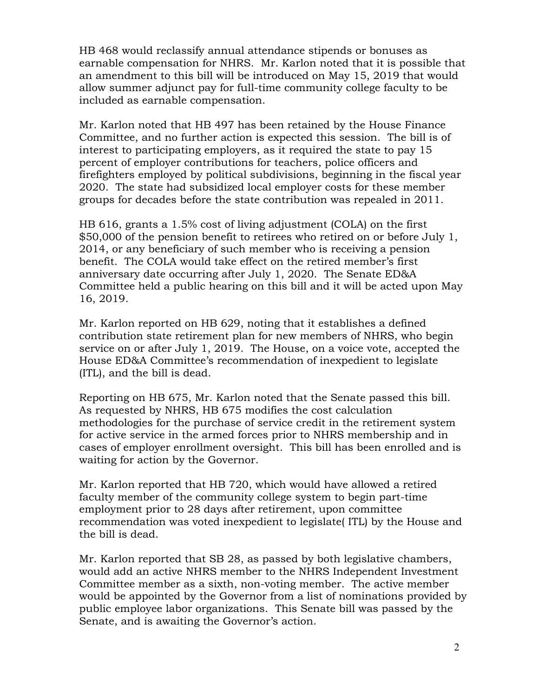HB 468 would reclassify annual attendance stipends or bonuses as earnable compensation for NHRS. Mr. Karlon noted that it is possible that an amendment to this bill will be introduced on May 15, 2019 that would allow summer adjunct pay for full-time community college faculty to be included as earnable compensation.

Mr. Karlon noted that HB 497 has been retained by the House Finance Committee, and no further action is expected this session. The bill is of interest to participating employers, as it required the state to pay 15 percent of employer contributions for teachers, police officers and firefighters employed by political subdivisions, beginning in the fiscal year 2020. The state had subsidized local employer costs for these member groups for decades before the state contribution was repealed in 2011.

HB 616, grants a 1.5% cost of living adjustment (COLA) on the first \$50,000 of the pension benefit to retirees who retired on or before July 1, 2014, or any beneficiary of such member who is receiving a pension benefit. The COLA would take effect on the retired member's first anniversary date occurring after July 1, 2020. The Senate ED&A Committee held a public hearing on this bill and it will be acted upon May 16, 2019.

Mr. Karlon reported on HB 629, noting that it establishes a defined contribution state retirement plan for new members of NHRS, who begin service on or after July 1, 2019. The House, on a voice vote, accepted the House ED&A Committee's recommendation of inexpedient to legislate (ITL), and the bill is dead.

Reporting on HB 675, Mr. Karlon noted that the Senate passed this bill. As requested by NHRS, HB 675 modifies the cost calculation methodologies for the purchase of service credit in the retirement system for active service in the armed forces prior to NHRS membership and in cases of employer enrollment oversight. This bill has been enrolled and is waiting for action by the Governor.

Mr. Karlon reported that HB 720, which would have allowed a retired faculty member of the community college system to begin part-time employment prior to 28 days after retirement, upon committee recommendation was voted inexpedient to legislate( ITL) by the House and the bill is dead.

Mr. Karlon reported that SB 28, as passed by both legislative chambers, would add an active NHRS member to the NHRS Independent Investment Committee member as a sixth, non-voting member. The active member would be appointed by the Governor from a list of nominations provided by public employee labor organizations. This Senate bill was passed by the Senate, and is awaiting the Governor's action.